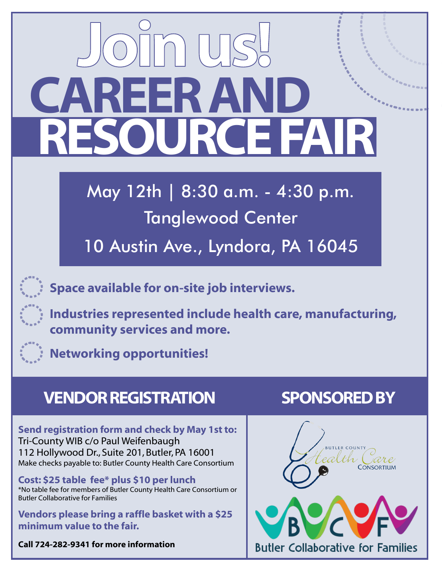# **REER/**<br>SOUR **RESOURCE FAIR**

May 12th | 8:30 a.m. - 4:30 p.m. Tanglewood Center

10 Austin Ave., Lyndora, PA 16045

**Space available for on-site job interviews.**

**Industries represented include health care, manufacturing, community services and more.**



**Networking opportunities!**

## **VENDOR REGISTRATION SPONSORED BY**

Send registration form and check by May 1st to: Tri-County WIB c/o Paul Weifenbaugh 112 Hollywood Dr., Suite 201, Butler, PA 16001 Make checks payable to: Butler County Health Care Consortium

Cost: \$25 table fee\* plus \$10 per lunch \*No table fee for members of Butler County Health Care Consortium or Butler Collaborative for Families

Vendors please bring a raffle basket with a \$25 minimum value to the fair.

**Call 724-282-9341 for more information**